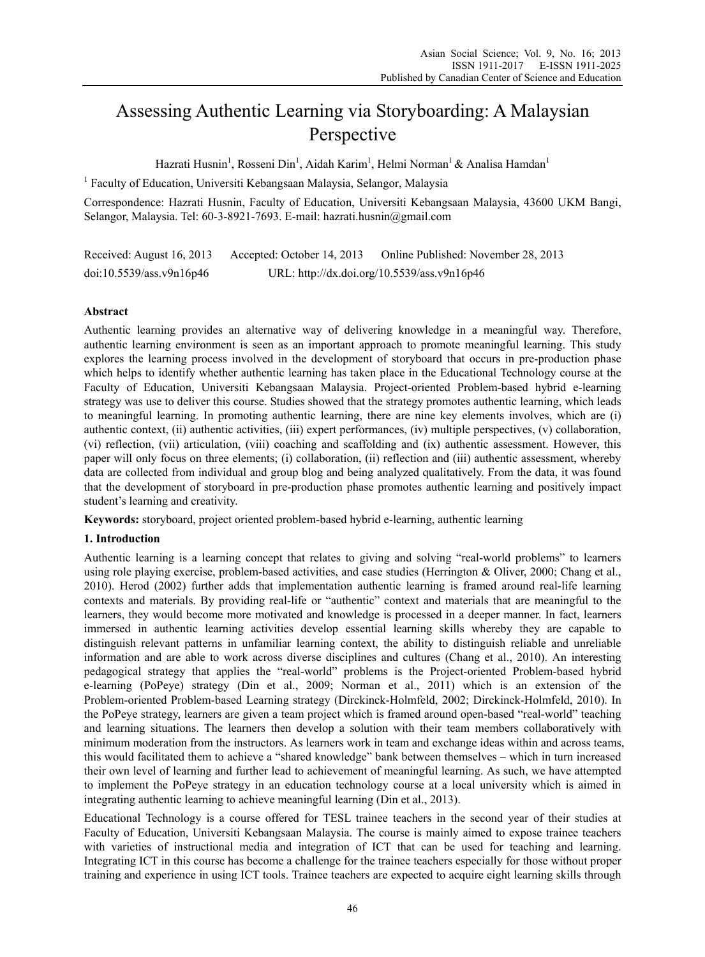# Assessing Authentic Learning via Storyboarding: A Malaysian Perspective

Hazrati Husnin<sup>1</sup>, Rosseni Din<sup>1</sup>, Aidah Karim<sup>1</sup>, Helmi Norman<sup>1</sup> & Analisa Hamdan<sup>1</sup>

<sup>1</sup> Faculty of Education, Universiti Kebangsaan Malaysia, Selangor, Malaysia

Correspondence: Hazrati Husnin, Faculty of Education, Universiti Kebangsaan Malaysia, 43600 UKM Bangi, Selangor, Malaysia. Tel: 60-3-8921-7693. E-mail: hazrati.husnin@gmail.com

Received: August 16, 2013 Accepted: October 14, 2013 Online Published: November 28, 2013 doi:10.5539/ass.v9n16p46 URL: http://dx.doi.org/10.5539/ass.v9n16p46

# **Abstract**

Authentic learning provides an alternative way of delivering knowledge in a meaningful way. Therefore, authentic learning environment is seen as an important approach to promote meaningful learning. This study explores the learning process involved in the development of storyboard that occurs in pre-production phase which helps to identify whether authentic learning has taken place in the Educational Technology course at the Faculty of Education, Universiti Kebangsaan Malaysia. Project-oriented Problem-based hybrid e-learning strategy was use to deliver this course. Studies showed that the strategy promotes authentic learning, which leads to meaningful learning. In promoting authentic learning, there are nine key elements involves, which are (i) authentic context, (ii) authentic activities, (iii) expert performances, (iv) multiple perspectives, (v) collaboration, (vi) reflection, (vii) articulation, (viii) coaching and scaffolding and (ix) authentic assessment. However, this paper will only focus on three elements; (i) collaboration, (ii) reflection and (iii) authentic assessment, whereby data are collected from individual and group blog and being analyzed qualitatively. From the data, it was found that the development of storyboard in pre-production phase promotes authentic learning and positively impact student's learning and creativity.

**Keywords:** storyboard, project oriented problem-based hybrid e-learning, authentic learning

## **1. Introduction**

Authentic learning is a learning concept that relates to giving and solving "real-world problems" to learners using role playing exercise, problem-based activities, and case studies (Herrington & Oliver, 2000; Chang et al., 2010). Herod (2002) further adds that implementation authentic learning is framed around real-life learning contexts and materials. By providing real-life or "authentic" context and materials that are meaningful to the learners, they would become more motivated and knowledge is processed in a deeper manner. In fact, learners immersed in authentic learning activities develop essential learning skills whereby they are capable to distinguish relevant patterns in unfamiliar learning context, the ability to distinguish reliable and unreliable information and are able to work across diverse disciplines and cultures (Chang et al., 2010). An interesting pedagogical strategy that applies the "real-world" problems is the Project-oriented Problem-based hybrid e-learning (PoPeye) strategy (Din et al., 2009; Norman et al., 2011) which is an extension of the Problem-oriented Problem-based Learning strategy (Dirckinck-Holmfeld, 2002; Dirckinck-Holmfeld, 2010). In the PoPeye strategy, learners are given a team project which is framed around open-based "real-world" teaching and learning situations. The learners then develop a solution with their team members collaboratively with minimum moderation from the instructors. As learners work in team and exchange ideas within and across teams, this would facilitated them to achieve a "shared knowledge" bank between themselves – which in turn increased their own level of learning and further lead to achievement of meaningful learning. As such, we have attempted to implement the PoPeye strategy in an education technology course at a local university which is aimed in integrating authentic learning to achieve meaningful learning (Din et al., 2013).

Educational Technology is a course offered for TESL trainee teachers in the second year of their studies at Faculty of Education, Universiti Kebangsaan Malaysia. The course is mainly aimed to expose trainee teachers with varieties of instructional media and integration of ICT that can be used for teaching and learning. Integrating ICT in this course has become a challenge for the trainee teachers especially for those without proper training and experience in using ICT tools. Trainee teachers are expected to acquire eight learning skills through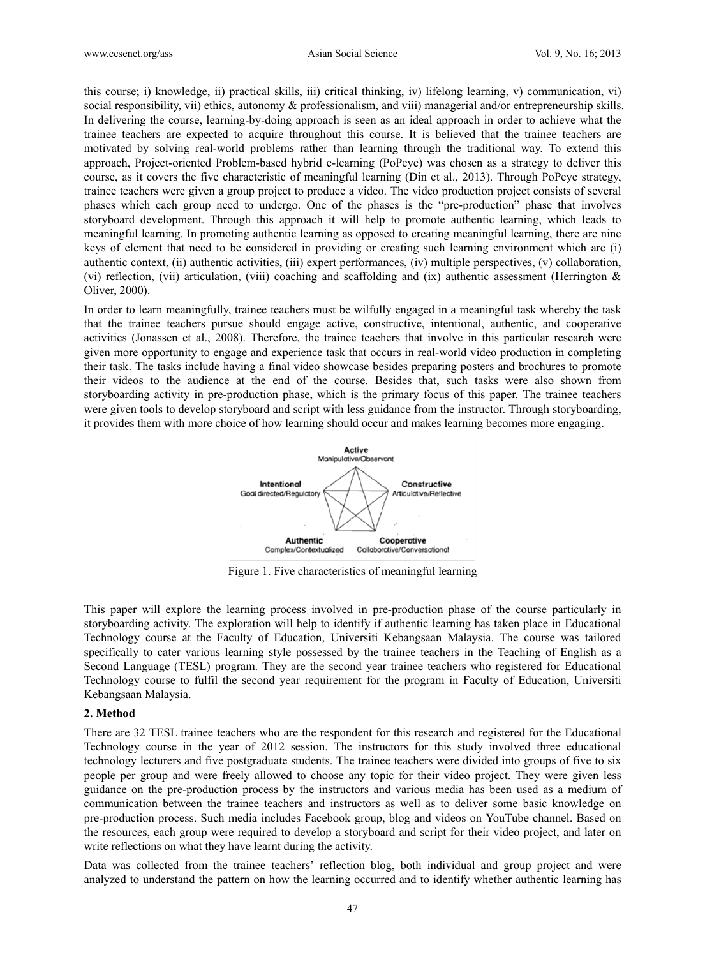this course; i) knowledge, ii) practical skills, iii) critical thinking, iv) lifelong learning, v) communication, vi) social responsibility, vii) ethics, autonomy  $\&$  professionalism, and viii) managerial and/or entrepreneurship skills. In delivering the course, learning-by-doing approach is seen as an ideal approach in order to achieve what the trainee teachers are expected to acquire throughout this course. It is believed that the trainee teachers are motivated by solving real-world problems rather than learning through the traditional way. To extend this approach, Project-oriented Problem-based hybrid e-learning (PoPeye) was chosen as a strategy to deliver this course, as it covers the five characteristic of meaningful learning (Din et al., 2013). Through PoPeye strategy, trainee teachers were given a group project to produce a video. The video production project consists of several phases which each group need to undergo. One of the phases is the "pre-production" phase that involves storyboard development. Through this approach it will help to promote authentic learning, which leads to meaningful learning. In promoting authentic learning as opposed to creating meaningful learning, there are nine keys of element that need to be considered in providing or creating such learning environment which are (i) authentic context, (ii) authentic activities, (iii) expert performances, (iv) multiple perspectives, (v) collaboration, (vi) reflection, (vii) articulation, (viii) coaching and scaffolding and (ix) authentic assessment (Herrington & Oliver, 2000).

In order to learn meaningfully, trainee teachers must be wilfully engaged in a meaningful task whereby the task that the trainee teachers pursue should engage active, constructive, intentional, authentic, and cooperative activities (Jonassen et al., 2008). Therefore, the trainee teachers that involve in this particular research were given more opportunity to engage and experience task that occurs in real-world video production in completing their task. The tasks include having a final video showcase besides preparing posters and brochures to promote their videos to the audience at the end of the course. Besides that, such tasks were also shown from storyboarding activity in pre-production phase, which is the primary focus of this paper. The trainee teachers were given tools to develop storyboard and script with less guidance from the instructor. Through storyboarding, it provides them with more choice of how learning should occur and makes learning becomes more engaging.



Figure 1. Five characteristics of meaningful learning

This paper will explore the learning process involved in pre-production phase of the course particularly in storyboarding activity. The exploration will help to identify if authentic learning has taken place in Educational Technology course at the Faculty of Education, Universiti Kebangsaan Malaysia. The course was tailored specifically to cater various learning style possessed by the trainee teachers in the Teaching of English as a Second Language (TESL) program. They are the second year trainee teachers who registered for Educational Technology course to fulfil the second year requirement for the program in Faculty of Education, Universiti Kebangsaan Malaysia.

#### **2. Method**

There are 32 TESL trainee teachers who are the respondent for this research and registered for the Educational Technology course in the year of 2012 session. The instructors for this study involved three educational technology lecturers and five postgraduate students. The trainee teachers were divided into groups of five to six people per group and were freely allowed to choose any topic for their video project. They were given less guidance on the pre-production process by the instructors and various media has been used as a medium of communication between the trainee teachers and instructors as well as to deliver some basic knowledge on pre-production process. Such media includes Facebook group, blog and videos on YouTube channel. Based on the resources, each group were required to develop a storyboard and script for their video project, and later on write reflections on what they have learnt during the activity.

Data was collected from the trainee teachers' reflection blog, both individual and group project and were analyzed to understand the pattern on how the learning occurred and to identify whether authentic learning has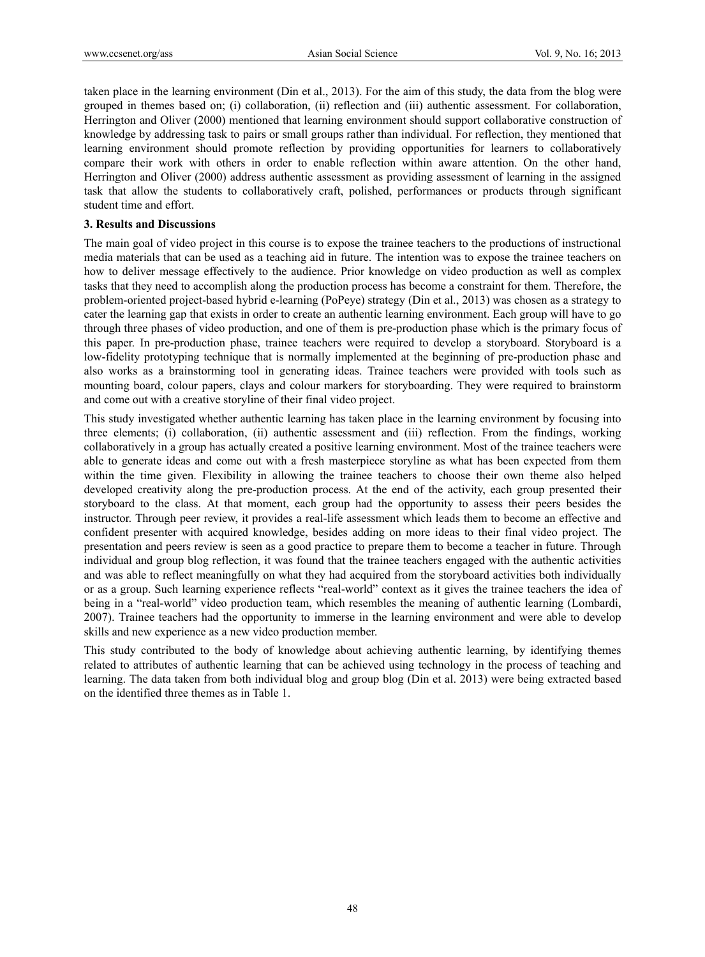taken place in the learning environment (Din et al., 2013). For the aim of this study, the data from the blog were grouped in themes based on; (i) collaboration, (ii) reflection and (iii) authentic assessment. For collaboration, Herrington and Oliver (2000) mentioned that learning environment should support collaborative construction of knowledge by addressing task to pairs or small groups rather than individual. For reflection, they mentioned that learning environment should promote reflection by providing opportunities for learners to collaboratively compare their work with others in order to enable reflection within aware attention. On the other hand, Herrington and Oliver (2000) address authentic assessment as providing assessment of learning in the assigned task that allow the students to collaboratively craft, polished, performances or products through significant student time and effort.

#### **3. Results and Discussions**

The main goal of video project in this course is to expose the trainee teachers to the productions of instructional media materials that can be used as a teaching aid in future. The intention was to expose the trainee teachers on how to deliver message effectively to the audience. Prior knowledge on video production as well as complex tasks that they need to accomplish along the production process has become a constraint for them. Therefore, the problem-oriented project-based hybrid e-learning (PoPeye) strategy (Din et al., 2013) was chosen as a strategy to cater the learning gap that exists in order to create an authentic learning environment. Each group will have to go through three phases of video production, and one of them is pre-production phase which is the primary focus of this paper. In pre-production phase, trainee teachers were required to develop a storyboard. Storyboard is a low-fidelity prototyping technique that is normally implemented at the beginning of pre-production phase and also works as a brainstorming tool in generating ideas. Trainee teachers were provided with tools such as mounting board, colour papers, clays and colour markers for storyboarding. They were required to brainstorm and come out with a creative storyline of their final video project.

This study investigated whether authentic learning has taken place in the learning environment by focusing into three elements; (i) collaboration, (ii) authentic assessment and (iii) reflection. From the findings, working collaboratively in a group has actually created a positive learning environment. Most of the trainee teachers were able to generate ideas and come out with a fresh masterpiece storyline as what has been expected from them within the time given. Flexibility in allowing the trainee teachers to choose their own theme also helped developed creativity along the pre-production process. At the end of the activity, each group presented their storyboard to the class. At that moment, each group had the opportunity to assess their peers besides the instructor. Through peer review, it provides a real-life assessment which leads them to become an effective and confident presenter with acquired knowledge, besides adding on more ideas to their final video project. The presentation and peers review is seen as a good practice to prepare them to become a teacher in future. Through individual and group blog reflection, it was found that the trainee teachers engaged with the authentic activities and was able to reflect meaningfully on what they had acquired from the storyboard activities both individually or as a group. Such learning experience reflects "real-world" context as it gives the trainee teachers the idea of being in a "real-world" video production team, which resembles the meaning of authentic learning (Lombardi, 2007). Trainee teachers had the opportunity to immerse in the learning environment and were able to develop skills and new experience as a new video production member.

This study contributed to the body of knowledge about achieving authentic learning, by identifying themes related to attributes of authentic learning that can be achieved using technology in the process of teaching and learning. The data taken from both individual blog and group blog (Din et al. 2013) were being extracted based on the identified three themes as in Table 1.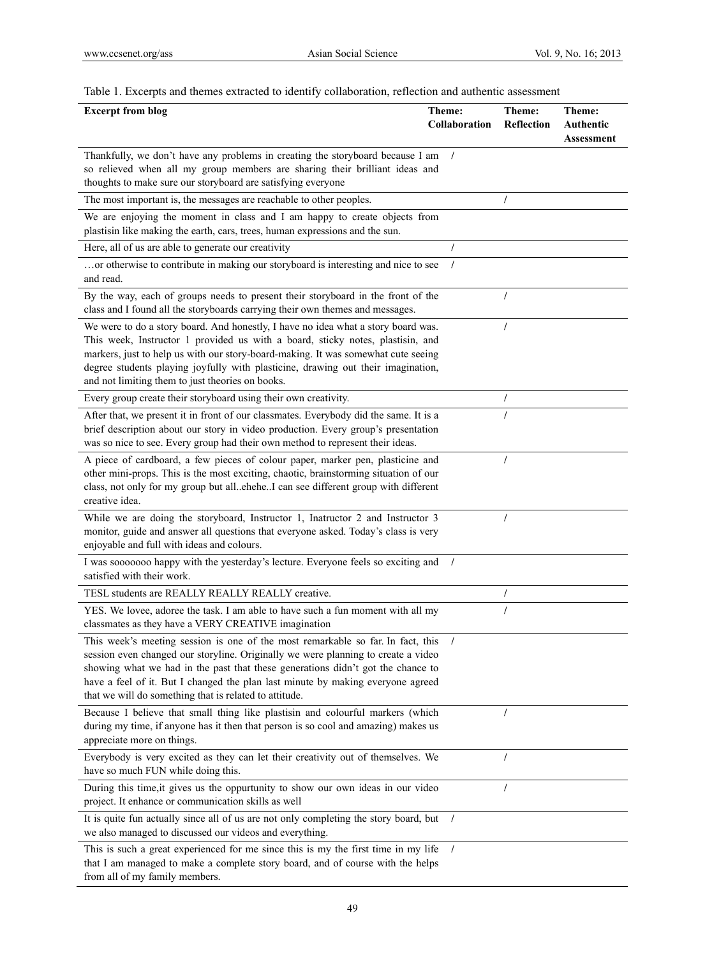|  |  |  |  |  |  |  |  |  |  | Table 1. Excerpts and themes extracted to identify collaboration, reflection and authentic assessment |  |
|--|--|--|--|--|--|--|--|--|--|-------------------------------------------------------------------------------------------------------|--|
|--|--|--|--|--|--|--|--|--|--|-------------------------------------------------------------------------------------------------------|--|

| <b>Excerpt from blog</b>                                                                                                                                                                                                                                                                                                                                                                             | Theme:<br>Collaboration | Theme:<br>Reflection | Theme:<br>Authentic<br>Assessment |
|------------------------------------------------------------------------------------------------------------------------------------------------------------------------------------------------------------------------------------------------------------------------------------------------------------------------------------------------------------------------------------------------------|-------------------------|----------------------|-----------------------------------|
| Thankfully, we don't have any problems in creating the storyboard because I am<br>so relieved when all my group members are sharing their brilliant ideas and<br>thoughts to make sure our storyboard are satisfying everyone                                                                                                                                                                        | $\sqrt{ }$              |                      |                                   |
| The most important is, the messages are reachable to other peoples.                                                                                                                                                                                                                                                                                                                                  |                         | $\prime$             |                                   |
| We are enjoying the moment in class and I am happy to create objects from<br>plastisin like making the earth, cars, trees, human expressions and the sun.                                                                                                                                                                                                                                            |                         |                      |                                   |
| Here, all of us are able to generate our creativity                                                                                                                                                                                                                                                                                                                                                  | $\prime$                |                      |                                   |
| or otherwise to contribute in making our storyboard is interesting and nice to see<br>and read.                                                                                                                                                                                                                                                                                                      |                         |                      |                                   |
| By the way, each of groups needs to present their storyboard in the front of the<br>class and I found all the storyboards carrying their own themes and messages.                                                                                                                                                                                                                                    |                         |                      |                                   |
| We were to do a story board. And honestly, I have no idea what a story board was.<br>This week, Instructor 1 provided us with a board, sticky notes, plastisin, and<br>markers, just to help us with our story-board-making. It was somewhat cute seeing<br>degree students playing joyfully with plasticine, drawing out their imagination,<br>and not limiting them to just theories on books.     |                         |                      |                                   |
| Every group create their storyboard using their own creativity.                                                                                                                                                                                                                                                                                                                                      |                         |                      |                                   |
| After that, we present it in front of our classmates. Everybody did the same. It is a<br>brief description about our story in video production. Every group's presentation<br>was so nice to see. Every group had their own method to represent their ideas.                                                                                                                                         |                         |                      |                                   |
| A piece of cardboard, a few pieces of colour paper, marker pen, plasticine and<br>other mini-props. This is the most exciting, chaotic, brainstorming situation of our<br>class, not only for my group but all. ehehe. I can see different group with different<br>creative idea.                                                                                                                    |                         | I                    |                                   |
| While we are doing the storyboard, Instructor 1, Inatructor 2 and Instructor 3<br>monitor, guide and answer all questions that everyone asked. Today's class is very<br>enjoyable and full with ideas and colours.                                                                                                                                                                                   |                         | 1                    |                                   |
| I was sooooooo happy with the yesterday's lecture. Everyone feels so exciting and<br>satisfied with their work.                                                                                                                                                                                                                                                                                      |                         |                      |                                   |
| TESL students are REALLY REALLY REALLY creative.                                                                                                                                                                                                                                                                                                                                                     |                         | 1                    |                                   |
| YES. We lovee, adoree the task. I am able to have such a fun moment with all my<br>classmates as they have a VERY CREATIVE imagination                                                                                                                                                                                                                                                               |                         | $\overline{I}$       |                                   |
| This week's meeting session is one of the most remarkable so far. In fact, this<br>session even changed our storyline. Originally we were planning to create a video<br>showing what we had in the past that these generations didn't got the chance to<br>have a feel of it. But I changed the plan last minute by making everyone agreed<br>that we will do something that is related to attitude. | $\sqrt{ }$              |                      |                                   |
| Because I believe that small thing like plastisin and colourful markers (which<br>during my time, if anyone has it then that person is so cool and amazing) makes us<br>appreciate more on things.                                                                                                                                                                                                   |                         |                      |                                   |
| Everybody is very excited as they can let their creativity out of themselves. We<br>have so much FUN while doing this.                                                                                                                                                                                                                                                                               |                         |                      |                                   |
| During this time, it gives us the oppurtunity to show our own ideas in our video<br>project. It enhance or communication skills as well                                                                                                                                                                                                                                                              |                         |                      |                                   |
| It is quite fun actually since all of us are not only completing the story board, but<br>we also managed to discussed our videos and everything.                                                                                                                                                                                                                                                     |                         |                      |                                   |
| This is such a great experienced for me since this is my the first time in my life<br>that I am managed to make a complete story board, and of course with the helps<br>from all of my family members.                                                                                                                                                                                               | $\sqrt{ }$              |                      |                                   |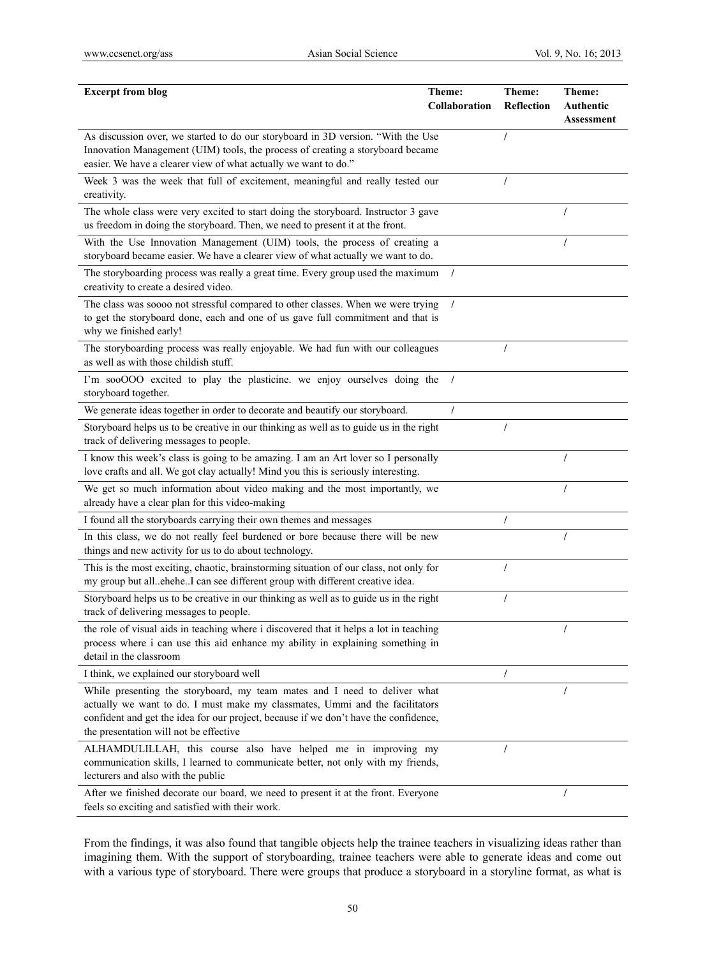| <b>Excerpt from blog</b>                                                                                                                                                                                                              | Theme:<br>Collaboration | Theme:<br>Reflection | Theme:<br>Authentic<br><b>Assessment</b> |
|---------------------------------------------------------------------------------------------------------------------------------------------------------------------------------------------------------------------------------------|-------------------------|----------------------|------------------------------------------|
| As discussion over, we started to do our storyboard in 3D version. "With the Use<br>Innovation Management (UIM) tools, the process of creating a storyboard became<br>easier. We have a clearer view of what actually we want to do." |                         |                      |                                          |
| Week 3 was the week that full of excitement, meaningful and really tested our<br>creativity.                                                                                                                                          |                         |                      |                                          |
| The whole class were very excited to start doing the storyboard. Instructor 3 gave<br>us freedom in doing the storyboard. Then, we need to present it at the front.                                                                   |                         |                      | $\overline{1}$                           |
| With the Use Innovation Management (UIM) tools, the process of creating a<br>storyboard became easier. We have a clearer view of what actually we want to do.                                                                         |                         |                      |                                          |
| The storyboarding process was really a great time. Every group used the maximum<br>creativity to create a desired video.                                                                                                              |                         |                      |                                          |
| The class was soooo not stressful compared to other classes. When we were trying<br>to get the storyboard done, each and one of us gave full commitment and that is<br>why we finished early!                                         |                         |                      |                                          |
| The storyboarding process was really enjoyable. We had fun with our colleagues<br>as well as with those childish stuff.                                                                                                               |                         | 1                    |                                          |
| I'm sooOOO excited to play the plasticine. we enjoy ourselves doing the<br>storyboard together.                                                                                                                                       |                         |                      |                                          |
| We generate ideas together in order to decorate and beautify our storyboard.                                                                                                                                                          |                         |                      |                                          |
| Storyboard helps us to be creative in our thinking as well as to guide us in the right<br>track of delivering messages to people.                                                                                                     |                         |                      |                                          |
| I know this week's class is going to be amazing. I am an Art lover so I personally<br>love crafts and all. We got clay actually! Mind you this is seriously interesting.                                                              |                         |                      |                                          |
| We get so much information about video making and the most importantly, we<br>already have a clear plan for this video-making                                                                                                         |                         |                      |                                          |
| I found all the storyboards carrying their own themes and messages                                                                                                                                                                    |                         |                      |                                          |
| In this class, we do not really feel burdened or bore because there will be new<br>things and new activity for us to do about technology.                                                                                             |                         |                      |                                          |
| This is the most exciting, chaotic, brainstorming situation of our class, not only for<br>my group but all. ehehe. I can see different group with different creative idea.                                                            |                         |                      |                                          |
| Storyboard helps us to be creative in our thinking as well as to guide us in the right<br>track of delivering messages to people.                                                                                                     |                         |                      |                                          |
| the role of visual aids in teaching where i discovered that it helps a lot in teaching<br>process where i can use this aid enhance my ability in explaining something in<br>detail in the classroom                                   |                         |                      |                                          |
| I think, we explained our storyboard well                                                                                                                                                                                             |                         | $\prime$             |                                          |
| While presenting the storyboard, my team mates and I need to deliver what                                                                                                                                                             |                         |                      |                                          |
| actually we want to do. I must make my classmates, Ummi and the facilitators                                                                                                                                                          |                         |                      |                                          |
| confident and get the idea for our project, because if we don't have the confidence,<br>the presentation will not be effective                                                                                                        |                         |                      |                                          |
| ALHAMDULILLAH, this course also have helped me in improving my                                                                                                                                                                        |                         |                      |                                          |
| communication skills, I learned to communicate better, not only with my friends,<br>lecturers and also with the public                                                                                                                |                         |                      |                                          |
| After we finished decorate our board, we need to present it at the front. Everyone<br>feels so exciting and satisfied with their work.                                                                                                |                         |                      |                                          |

From the findings, it was also found that tangible objects help the trainee teachers in visualizing ideas rather than imagining them. With the support of storyboarding, trainee teachers were able to generate ideas and come out with a various type of storyboard. There were groups that produce a storyboard in a storyline format, as what is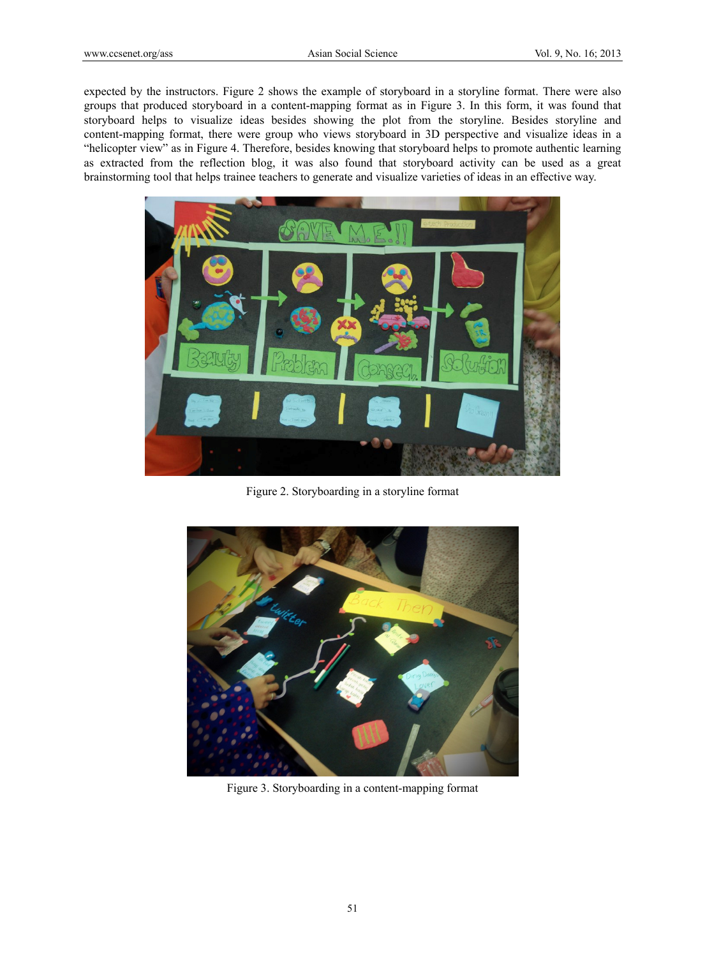expected by the instructors. Figure 2 shows the example of storyboard in a storyline format. There were also groups that produced storyboard in a content-mapping format as in Figure 3. In this form, it was found that storyboard helps to visualize ideas besides showing the plot from the storyline. Besides storyline and content-mapping format, there were group who views storyboard in 3D perspective and visualize ideas in a "helicopter view" as in Figure 4. Therefore, besides knowing that storyboard helps to promote authentic learning as extracted from the reflection blog, it was also found that storyboard activity can be used as a great brainstorming tool that helps trainee teachers to generate and visualize varieties of ideas in an effective way.



Figure 2. Storyboarding in a storyline format



Figure 3. Storyboarding in a content-mapping format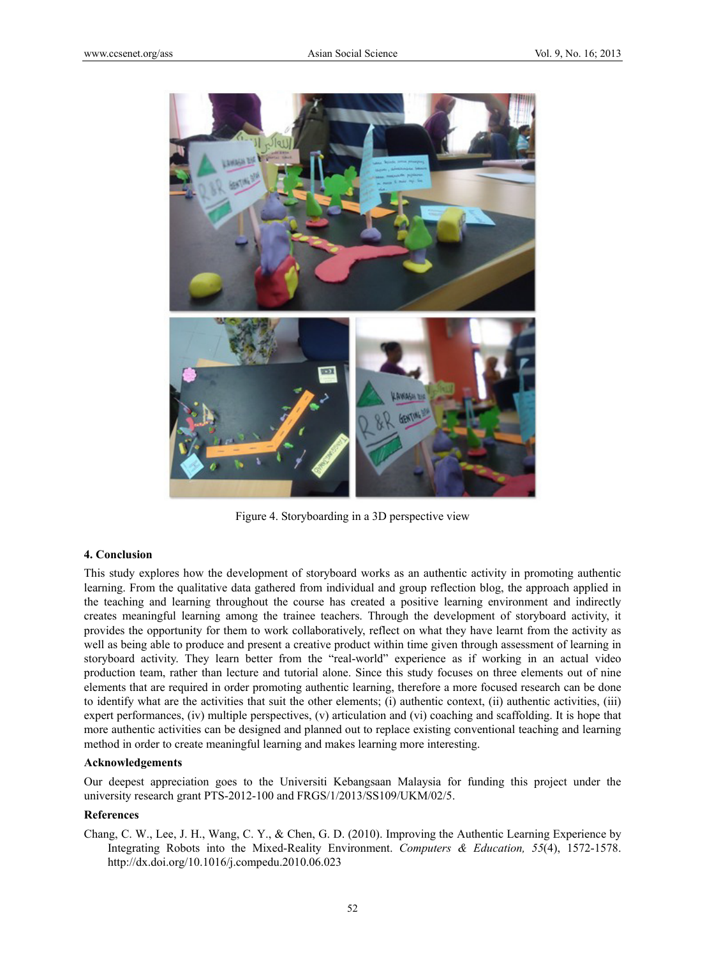

Figure 4. Storyboarding in a 3D perspective view

#### **4. Conclusion**

This study explores how the development of storyboard works as an authentic activity in promoting authentic learning. From the qualitative data gathered from individual and group reflection blog, the approach applied in the teaching and learning throughout the course has created a positive learning environment and indirectly creates meaningful learning among the trainee teachers. Through the development of storyboard activity, it provides the opportunity for them to work collaboratively, reflect on what they have learnt from the activity as well as being able to produce and present a creative product within time given through assessment of learning in storyboard activity. They learn better from the "real-world" experience as if working in an actual video production team, rather than lecture and tutorial alone. Since this study focuses on three elements out of nine elements that are required in order promoting authentic learning, therefore a more focused research can be done to identify what are the activities that suit the other elements; (i) authentic context, (ii) authentic activities, (iii) expert performances, (iv) multiple perspectives, (v) articulation and (vi) coaching and scaffolding. It is hope that more authentic activities can be designed and planned out to replace existing conventional teaching and learning method in order to create meaningful learning and makes learning more interesting.

#### **Acknowledgements**

Our deepest appreciation goes to the Universiti Kebangsaan Malaysia for funding this project under the university research grant PTS-2012-100 and FRGS/1/2013/SS109/UKM/02/5.

#### **References**

Chang, C. W., Lee, J. H., Wang, C. Y., & Chen, G. D. (2010). Improving the Authentic Learning Experience by Integrating Robots into the Mixed-Reality Environment. *Computers & Education, 55*(4), 1572-1578. http://dx.doi.org/10.1016/j.compedu.2010.06.023